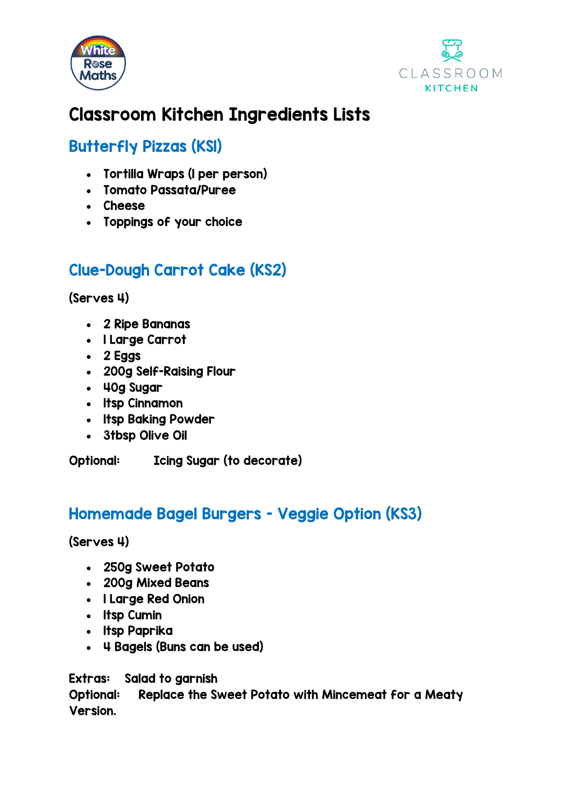



## Classroom Kitchen Ingredients Lists

## Butterfly Pizzas (KS1)

- Tortilla Wraps (1 per person)
- Tomato Passata/Puree
- Cheese
- Toppings of your choice

## Clue-Dough Carrot Cake (KS2)

(Serves 4)

- 2 Ripe Bananas
- 1 Large Carrot
- 2 Eggs
- 200g Self-Raising Flour
- 40g Sugar
- 1tsp Cinnamon
- 1tsp Baking Powder
- 3tbsp Olive Oil

Optional: Icing Sugar (to decorate)

## Homemade Bagel Burgers - Veggie Option (KS3)

(Serves 4)

- 250g Sweet Potato
- 200g Mixed Beans
- 1 Large Red Onion
- 1tsp Cumin
- 1tsp Paprika
- 4 Bagels (Buns can be used)

Extras: Salad to garnish

Optional: Replace the Sweet Potato with Mincemeat for a Meaty Version.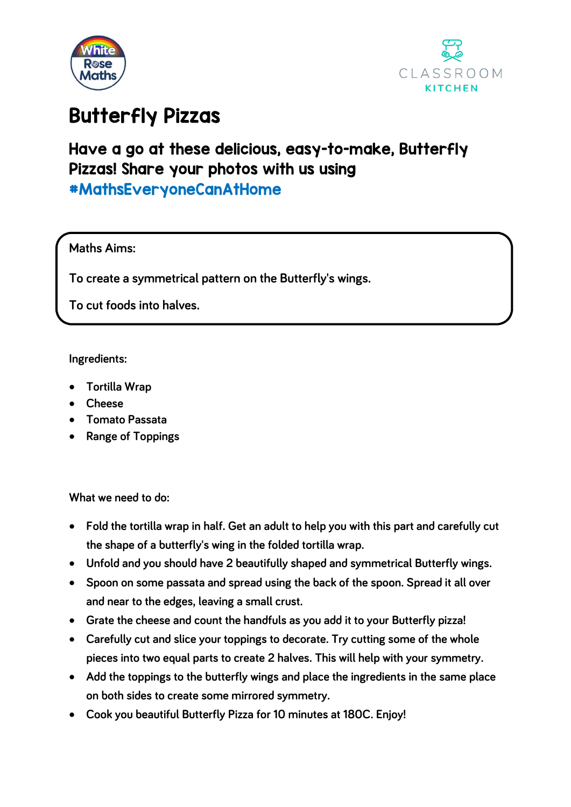



# Butterfly Pizzas

## Have a go at these delicious, easy-to-make, Butterfly Pizzas! Share your photos with us using #MathsEveryoneCanAtHome

### **Maths Aims:**

**To create a symmetrical pattern on the Butterfly's wings.**

**To cut foods into halves.**

**Ingredients:**

- **Tortilla Wrap**
- **Cheese**
- **Tomato Passata**
- **Range of Toppings**

**What we need to do:**

- **Fold the tortilla wrap in half. Get an adult to help you with this part and carefully cut the shape of a butterfly's wing in the folded tortilla wrap.**
- **Unfold and you should have 2 beautifully shaped and symmetrical Butterfly wings.**
- **Spoon on some passata and spread using the back of the spoon. Spread it all over and near to the edges, leaving a small crust.**
- **Grate the cheese and count the handfuls as you add it to your Butterfly pizza!**
- **Carefully cut and slice your toppings to decorate. Try cutting some of the whole pieces into two equal parts to create 2 halves. This will help with your symmetry.**
- **Add the toppings to the butterfly wings and place the ingredients in the same place on both sides to create some mirrored symmetry.**
- **Cook you beautiful Butterfly Pizza for 10 minutes at 180C. Enjoy!**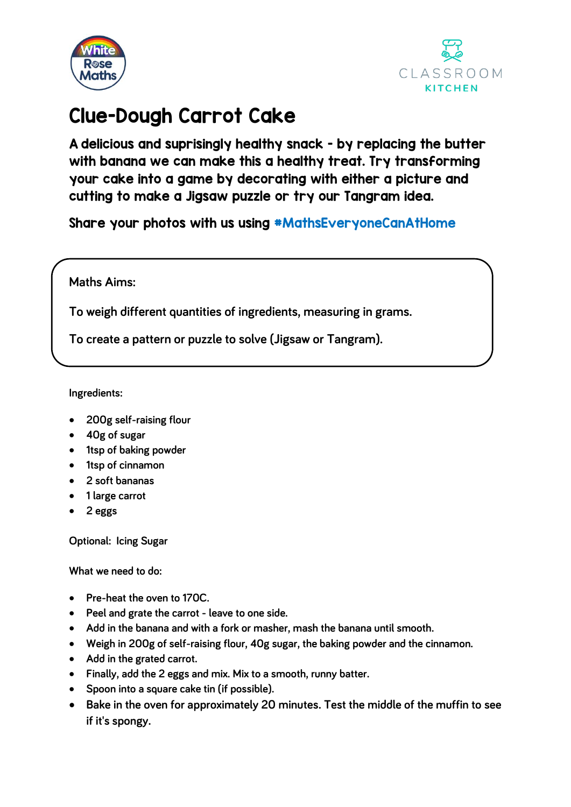



# Clue-Dough Carrot Cake

A delicious and suprisingly healthy snack - by replacing the butter with banana we can make this a healthy treat. Try transforming your cake into a game by decorating with either a picture and cutting to make a Jigsaw puzzle or try our Tangram idea.

Share your photos with us using #MathsEveryoneCanAtHome

**Maths Aims:**

**To weigh different quantities of ingredients, measuring in grams.**

**To create a pattern or puzzle to solve (Jigsaw or Tangram).**

**Ingredients:**

- **200g self-raising flour**
- **40g of sugar**
- **1tsp of baking powder**
- **1tsp of cinnamon**
- **2 soft bananas**
- **1 large carrot**
- **2 eggs**

**Optional: Icing Sugar**

**What we need to do:**

- **Pre-heat the oven to 170C.**
- **Peel and grate the carrot - leave to one side.**
- **Add in the banana and with a fork or masher, mash the banana until smooth.**
- **Weigh in 200g of self-raising flour, 40g sugar, the baking powder and the cinnamon.**
- **Add in the grated carrot.**
- **Finally, add the 2 eggs and mix. Mix to a smooth, runny batter.**
- **Spoon into a square cake tin (if possible).**
- **Bake in the oven for approximately 20 minutes. Test the middle of the muffin to see if it's spongy.**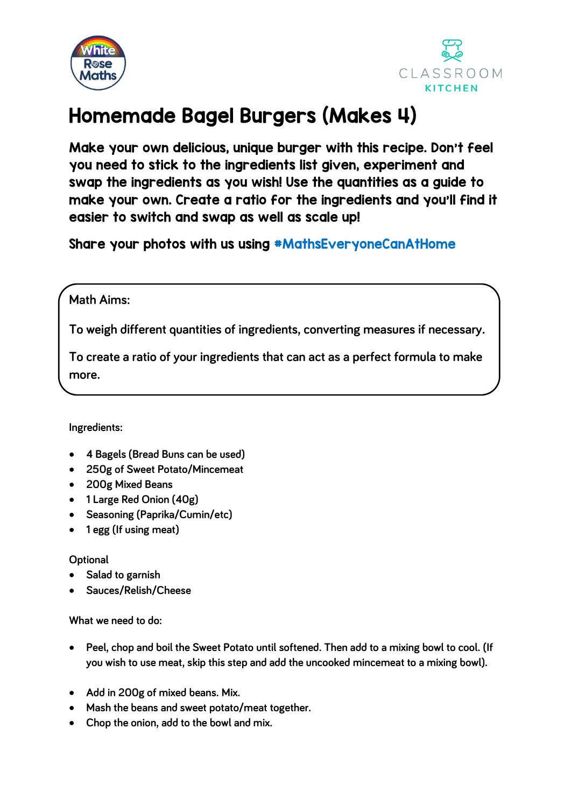



# Homemade Bagel Burgers (Makes 4)

Make your own delicious, unique burger with this recipe. Don't feel you need to stick to the ingredients list given, experiment and swap the ingredients as you wish! Use the quantities as a guide to make your own. Create a ratio for the ingredients and you'll find it easier to switch and swap as well as scale up!

Share your photos with us using #MathsEveryoneCanAtHome

### **Math Aims:**

**To weigh different quantities of ingredients, converting measures if necessary.**

**To create a ratio of your ingredients that can act as a perfect formula to make more.**

### **Ingredients:**

- **4 Bagels (Bread Buns can be used)**
- **250g of Sweet Potato/Mincemeat**
- **200g Mixed Beans**
- **1 Large Red Onion (40g)**
- **Seasoning (Paprika/Cumin/etc)**
- **1 egg (If using meat)**

### **Optional**

- **Salad to garnish**
- **Sauces/Relish/Cheese**

**What we need to do:**

- **Peel, chop and boil the Sweet Potato until softened. Then add to a mixing bowl to cool. (If you wish to use meat, skip this step and add the uncooked mincemeat to a mixing bowl).**
- **Add in 200g of mixed beans. Mix.**
- **Mash the beans and sweet potato/meat together.**
- **Chop the onion, add to the bowl and mix.**